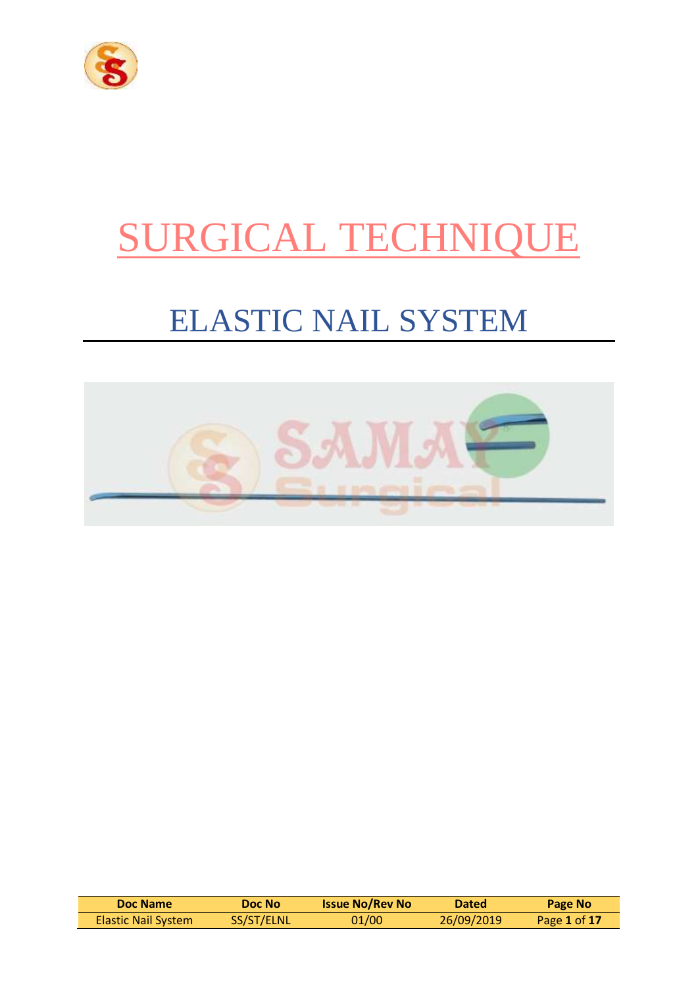

# SURGICAL TECHNIQUE

## ELASTIC NAIL SYSTEM



| Doc Name            | Doc No     | <b>Issue No/Rev No</b> | <b>Dated</b> | Page No      |
|---------------------|------------|------------------------|--------------|--------------|
| Elastic Nail System | SS/ST/ELNL | 01/00                  | 26/09/2019   | Page 1 of 17 |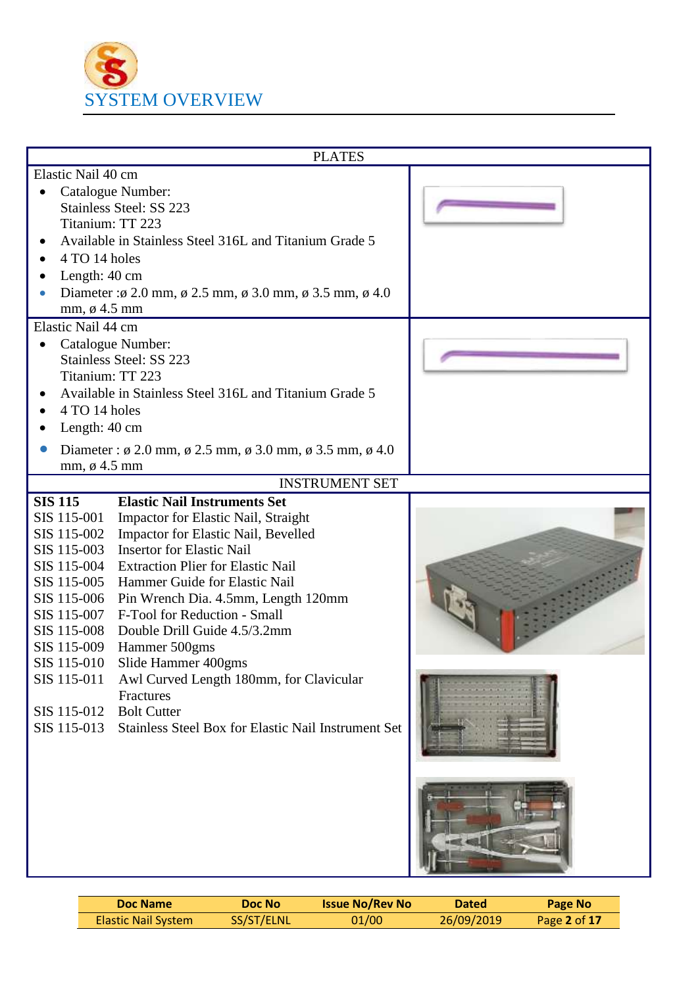

|                          | <b>PLATES</b>                                                                     |  |
|--------------------------|-----------------------------------------------------------------------------------|--|
| Elastic Nail 40 cm       |                                                                                   |  |
|                          | Catalogue Number:                                                                 |  |
|                          | Stainless Steel: SS 223                                                           |  |
| Titanium: TT 223         |                                                                                   |  |
|                          | Available in Stainless Steel 316L and Titanium Grade 5                            |  |
| 4 TO 14 holes            |                                                                                   |  |
| Length: 40 cm            |                                                                                   |  |
|                          | Diameter : $\phi$ 2.0 mm, $\phi$ 2.5 mm, $\phi$ 3.0 mm, $\phi$ 3.5 mm, $\phi$ 4.0 |  |
| mm, $\varnothing$ 4.5 mm |                                                                                   |  |
| Elastic Nail 44 cm       |                                                                                   |  |
| $\bullet$                | Catalogue Number:                                                                 |  |
|                          | Stainless Steel: SS 223                                                           |  |
| Titanium: TT 223         |                                                                                   |  |
|                          | Available in Stainless Steel 316L and Titanium Grade 5                            |  |
| 4 TO 14 holes            |                                                                                   |  |
| Length: 40 cm            |                                                                                   |  |
|                          | Diameter: $\phi$ 2.0 mm, $\phi$ 2.5 mm, $\phi$ 3.0 mm, $\phi$ 3.5 mm, $\phi$ 4.0  |  |
| mm, $\varnothing$ 4.5 mm |                                                                                   |  |
|                          | <b>INSTRUMENT SET</b>                                                             |  |
| <b>SIS 115</b>           | <b>Elastic Nail Instruments Set</b>                                               |  |
| SIS 115-001              | Impactor for Elastic Nail, Straight                                               |  |
| SIS 115-002              | Impactor for Elastic Nail, Bevelled                                               |  |
| SIS 115-003              | <b>Insertor for Elastic Nail</b>                                                  |  |
| SIS 115-004              | <b>Extraction Plier for Elastic Nail</b>                                          |  |
| SIS 115-005              | Hammer Guide for Elastic Nail                                                     |  |
| SIS 115-006              | Pin Wrench Dia. 4.5mm, Length 120mm                                               |  |
| SIS 115-007              | F-Tool for Reduction - Small                                                      |  |
| SIS 115-008              | Double Drill Guide 4.5/3.2mm                                                      |  |
| SIS 115-009              | Hammer 500gms                                                                     |  |
| SIS 115-010              | Slide Hammer 400gms                                                               |  |
| SIS 115-011              | Awl Curved Length 180mm, for Clavicular                                           |  |
|                          | Fractures                                                                         |  |
| SIS 115-012              | <b>Bolt Cutter</b>                                                                |  |
| SIS 115-013              | Stainless Steel Box for Elastic Nail Instrument Set                               |  |
|                          |                                                                                   |  |
|                          |                                                                                   |  |
|                          |                                                                                   |  |
|                          |                                                                                   |  |
|                          |                                                                                   |  |
|                          |                                                                                   |  |
|                          |                                                                                   |  |
|                          |                                                                                   |  |

| Doc Name                   | Doc No     | <b>Issue No/Rev No</b> | <b>Dated</b> | Page No      |
|----------------------------|------------|------------------------|--------------|--------------|
| <b>Elastic Nail System</b> | SS/ST/ELNL | 01/00                  | 26/09/2019   | Page 2 of 17 |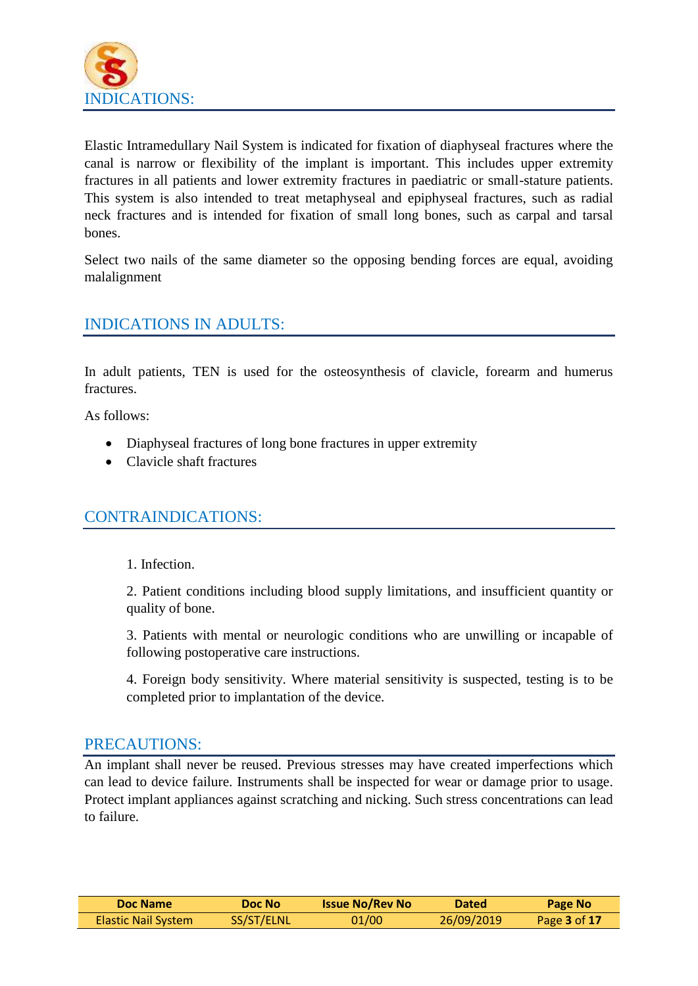

Elastic Intramedullary Nail System is indicated for fixation of diaphyseal fractures where the canal is narrow or flexibility of the implant is important. This includes upper extremity fractures in all patients and lower extremity fractures in paediatric or small-stature patients. This system is also intended to treat metaphyseal and epiphyseal fractures, such as radial neck fractures and is intended for fixation of small long bones, such as carpal and tarsal bones.

Select two nails of the same diameter so the opposing bending forces are equal, avoiding malalignment

#### INDICATIONS IN ADULTS:

In adult patients, TEN is used for the osteosynthesis of clavicle, forearm and humerus fractures.

As follows:

- Diaphyseal fractures of long bone fractures in upper extremity
- Clavicle shaft fractures

#### CONTRAINDICATIONS:

1. Infection.

2. Patient conditions including blood supply limitations, and insufficient quantity or quality of bone.

3. Patients with mental or neurologic conditions who are unwilling or incapable of following postoperative care instructions.

4. Foreign body sensitivity. Where material sensitivity is suspected, testing is to be completed prior to implantation of the device.

#### PRECAUTIONS:

An implant shall never be reused. Previous stresses may have created imperfections which can lead to device failure. Instruments shall be inspected for wear or damage prior to usage. Protect implant appliances against scratching and nicking. Such stress concentrations can lead to failure.

| Doc Name                   | Doc Nol    | <b>Issue No/Rev No</b> | <b>Dated</b> | Page No      |
|----------------------------|------------|------------------------|--------------|--------------|
| <b>Elastic Nail System</b> | SS/ST/ELNL | 01/00                  | 26/09/2019   | Page 3 of 17 |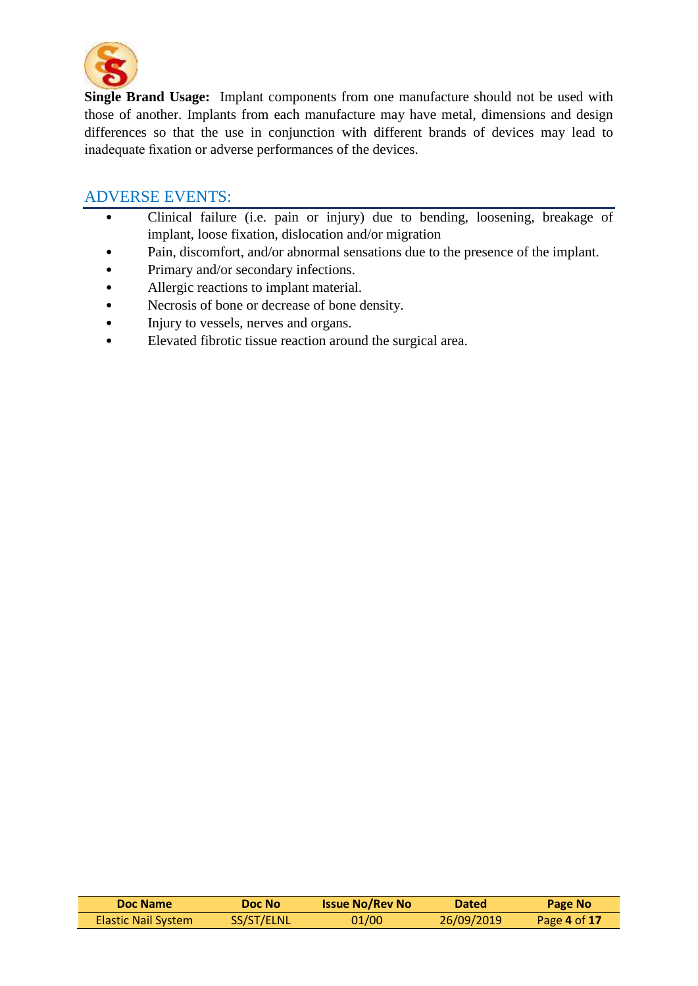

**Single Brand Usage:** Implant components from one manufacture should not be used with those of another. Implants from each manufacture may have metal, dimensions and design differences so that the use in conjunction with different brands of devices may lead to inadequate fixation or adverse performances of the devices.

#### ADVERSE EVENTS:

- Clinical failure (i.e. pain or injury) due to bending, loosening, breakage of implant, loose fixation, dislocation and/or migration
- Pain, discomfort, and/or abnormal sensations due to the presence of the implant.
- Primary and/or secondary infections.
- Allergic reactions to implant material.
- Necrosis of bone or decrease of bone density.
- Injury to vessels, nerves and organs.
- Elevated fibrotic tissue reaction around the surgical area.

| Doc Name                   | Doc No     | <b>Issue No/Rev No</b> | <b>Dated</b> | Page No      |
|----------------------------|------------|------------------------|--------------|--------------|
| <b>Elastic Nail System</b> | SS/ST/ELNL | 01/00                  | 26/09/2019   | Page 4 of 17 |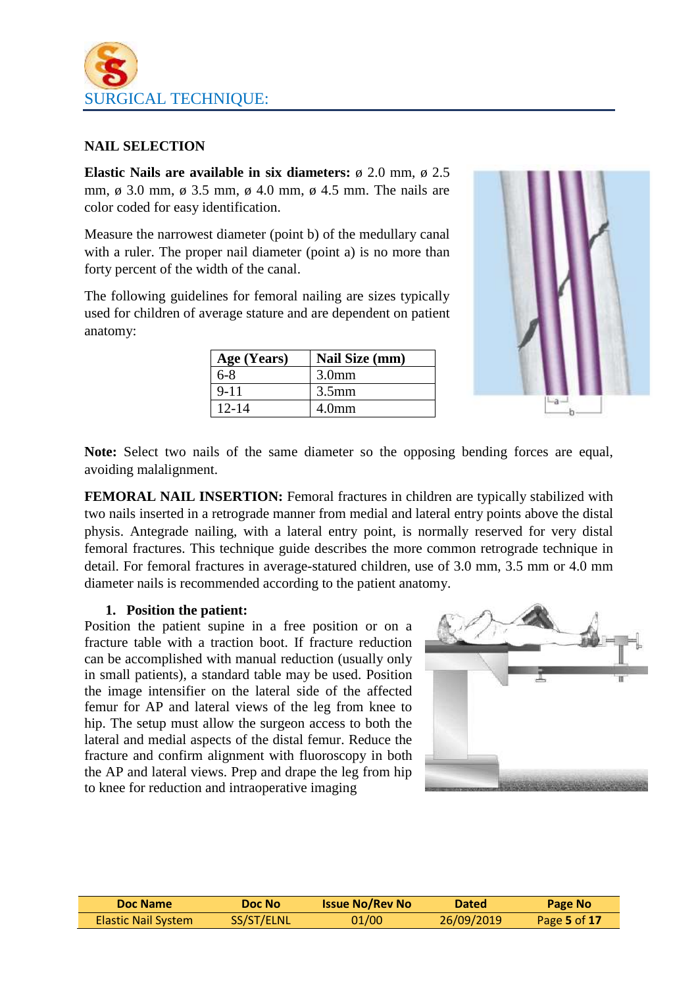

#### **NAIL SELECTION**

**Elastic Nails are available in six diameters:** ø 2.0 mm, ø 2.5 mm, ø 3.0 mm, ø 3.5 mm, ø 4.0 mm, ø 4.5 mm. The nails are color coded for easy identification.

Measure the narrowest diameter (point b) of the medullary canal with a ruler. The proper nail diameter (point a) is no more than forty percent of the width of the canal.

The following guidelines for femoral nailing are sizes typically used for children of average stature and are dependent on patient anatomy:

| Age (Years) | Nail Size (mm)    |
|-------------|-------------------|
| 6-8         | 3.0 <sub>mm</sub> |
| $9 - 11$    | $3.5$ mm          |
| $12 - 14$   | 4.0 <sub>mm</sub> |



**Note:** Select two nails of the same diameter so the opposing bending forces are equal, avoiding malalignment.

**FEMORAL NAIL INSERTION:** Femoral fractures in children are typically stabilized with two nails inserted in a retrograde manner from medial and lateral entry points above the distal physis. Antegrade nailing, with a lateral entry point, is normally reserved for very distal femoral fractures. This technique guide describes the more common retrograde technique in detail. For femoral fractures in average-statured children, use of 3.0 mm, 3.5 mm or 4.0 mm diameter nails is recommended according to the patient anatomy.

#### **1. Position the patient:**

Position the patient supine in a free position or on a fracture table with a traction boot. If fracture reduction can be accomplished with manual reduction (usually only in small patients), a standard table may be used. Position the image intensifier on the lateral side of the affected femur for AP and lateral views of the leg from knee to hip. The setup must allow the surgeon access to both the lateral and medial aspects of the distal femur. Reduce the fracture and confirm alignment with fluoroscopy in both the AP and lateral views. Prep and drape the leg from hip to knee for reduction and intraoperative imaging



| Doc Name                   | Doc No     | <b>Issue No/Rev No</b> | <b>Dated</b> | Page No      |
|----------------------------|------------|------------------------|--------------|--------------|
| <b>Elastic Nail System</b> | SS/ST/ELNL | 01/00                  | 26/09/2019   | Page 5 of 17 |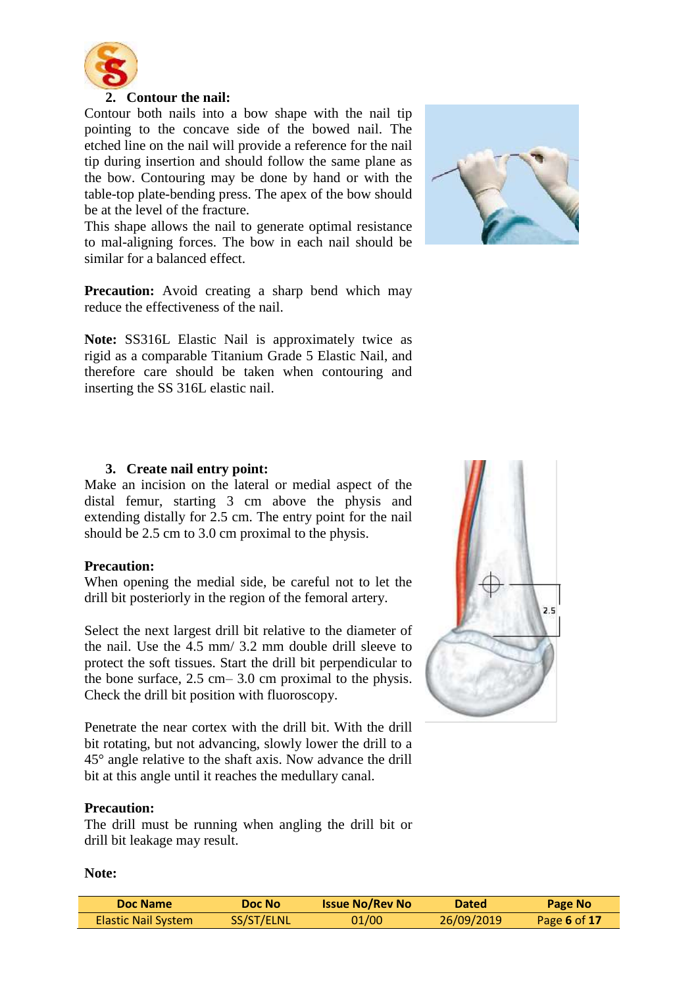

#### **2. Contour the nail:**

Contour both nails into a bow shape with the nail tip pointing to the concave side of the bowed nail. The etched line on the nail will provide a reference for the nail tip during insertion and should follow the same plane as the bow. Contouring may be done by hand or with the table-top plate-bending press. The apex of the bow should be at the level of the fracture.

This shape allows the nail to generate optimal resistance to mal-aligning forces. The bow in each nail should be similar for a balanced effect.



**Note:** SS316L Elastic Nail is approximately twice as rigid as a comparable Titanium Grade 5 Elastic Nail, and therefore care should be taken when contouring and inserting the SS 316L elastic nail.



#### **3. Create nail entry point:**

Make an incision on the lateral or medial aspect of the distal femur, starting 3 cm above the physis and extending distally for 2.5 cm. The entry point for the nail should be 2.5 cm to 3.0 cm proximal to the physis.

#### **Precaution:**

When opening the medial side, be careful not to let the drill bit posteriorly in the region of the femoral artery.

Select the next largest drill bit relative to the diameter of the nail. Use the 4.5 mm/ 3.2 mm double drill sleeve to protect the soft tissues. Start the drill bit perpendicular to the bone surface, 2.5 cm– 3.0 cm proximal to the physis. Check the drill bit position with fluoroscopy.

Penetrate the near cortex with the drill bit. With the drill bit rotating, but not advancing, slowly lower the drill to a 45° angle relative to the shaft axis. Now advance the drill bit at this angle until it reaches the medullary canal.

#### **Precaution:**

The drill must be running when angling the drill bit or drill bit leakage may result.



#### **Note:**

| Doc Name                   | Doc No     | <b>Issue No/Rev No</b> | <b>Dated</b> | Page No      |
|----------------------------|------------|------------------------|--------------|--------------|
| <b>Elastic Nail System</b> | SS/ST/ELNL | 01/00                  | 26/09/2019   | Page 6 of 17 |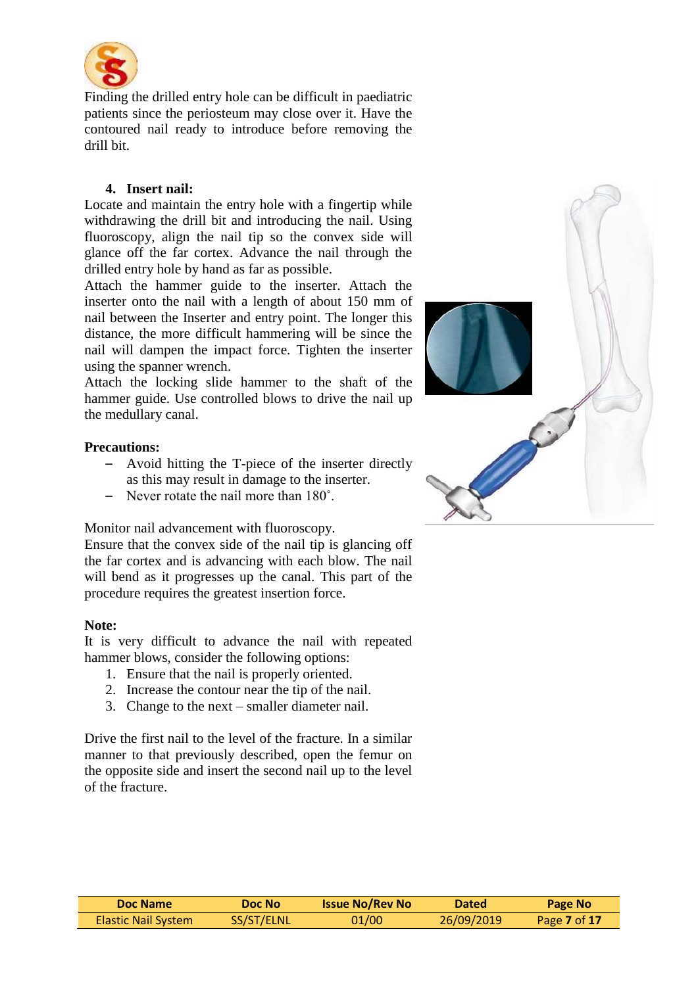

Finding the drilled entry hole can be difficult in paediatric patients since the periosteum may close over it. Have the contoured nail ready to introduce before removing the drill bit.

#### **4. Insert nail:**

Locate and maintain the entry hole with a fingertip while withdrawing the drill bit and introducing the nail. Using fluoroscopy, align the nail tip so the convex side will glance off the far cortex. Advance the nail through the drilled entry hole by hand as far as possible.

Attach the hammer guide to the inserter. Attach the inserter onto the nail with a length of about 150 mm of nail between the Inserter and entry point. The longer this distance, the more difficult hammering will be since the nail will dampen the impact force. Tighten the inserter using the spanner wrench.

Attach the locking slide hammer to the shaft of the hammer guide. Use controlled blows to drive the nail up the medullary canal.

#### **Precautions:**

- Avoid hitting the T-piece of the inserter directly as this may result in damage to the inserter.
- Never rotate the nail more than 180˚.

Monitor nail advancement with fluoroscopy.

Ensure that the convex side of the nail tip is glancing off the far cortex and is advancing with each blow. The nail will bend as it progresses up the canal. This part of the procedure requires the greatest insertion force.

#### **Note:**

It is very difficult to advance the nail with repeated hammer blows, consider the following options:

- 1. Ensure that the nail is properly oriented.
- 2. Increase the contour near the tip of the nail.
- 3. Change to the next smaller diameter nail.

Drive the first nail to the level of the fracture. In a similar manner to that previously described, open the femur on the opposite side and insert the second nail up to the level of the fracture.



| Doc Name                   | <b>Doc No</b> | <b>Issue No/Rev No</b> | <b>Dated</b> | <b>Page No</b> |
|----------------------------|---------------|------------------------|--------------|----------------|
| <b>Elastic Nail System</b> | SS/ST/ELNL    | 01/00                  | 26/09/2019   | Page 7 of 17   |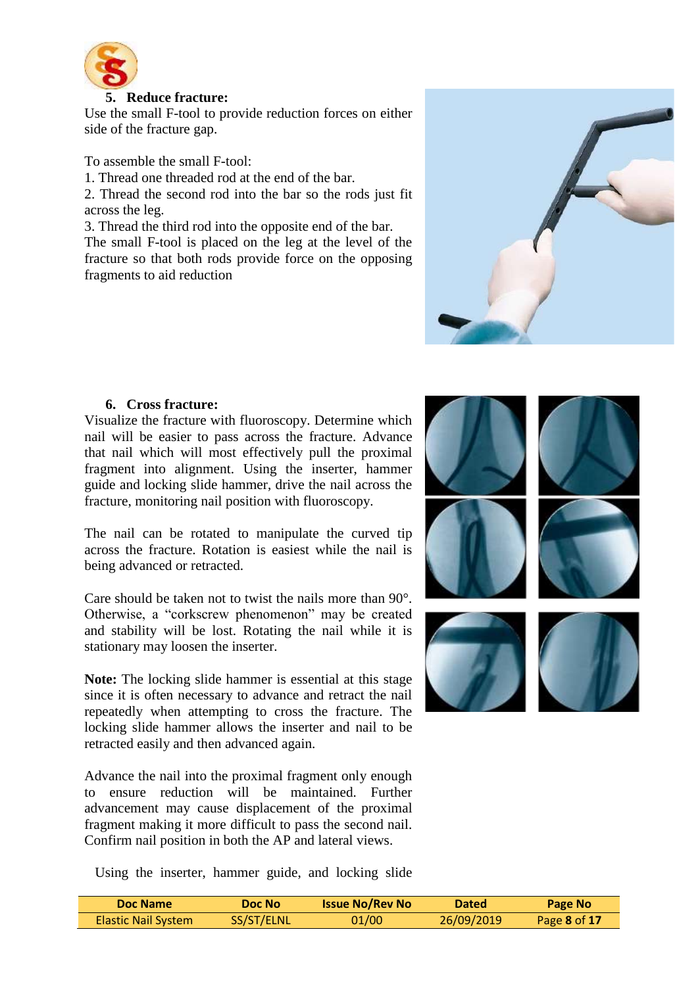

#### **5. Reduce fracture:**

Use the small F-tool to provide reduction forces on either side of the fracture gap.

To assemble the small F-tool:

1. Thread one threaded rod at the end of the bar.

2. Thread the second rod into the bar so the rods just fit across the leg.

3. Thread the third rod into the opposite end of the bar. The small F-tool is placed on the leg at the level of the

fracture so that both rods provide force on the opposing fragments to aid reduction



#### **6. Cross fracture:**

Visualize the fracture with fluoroscopy. Determine which nail will be easier to pass across the fracture. Advance that nail which will most effectively pull the proximal fragment into alignment. Using the inserter, hammer guide and locking slide hammer, drive the nail across the fracture, monitoring nail position with fluoroscopy.

The nail can be rotated to manipulate the curved tip across the fracture. Rotation is easiest while the nail is being advanced or retracted.

Care should be taken not to twist the nails more than 90°. Otherwise, a "corkscrew phenomenon" may be created and stability will be lost. Rotating the nail while it is stationary may loosen the inserter.

**Note:** The locking slide hammer is essential at this stage since it is often necessary to advance and retract the nail repeatedly when attempting to cross the fracture. The locking slide hammer allows the inserter and nail to be retracted easily and then advanced again.

Advance the nail into the proximal fragment only enough to ensure reduction will be maintained. Further advancement may cause displacement of the proximal fragment making it more difficult to pass the second nail. Confirm nail position in both the AP and lateral views.

Using the inserter, hammer guide, and locking slide



| Doc Name                   | Doc Nol    | <b>Issue No/Rev No</b> | <b>Dated</b> | Page No      |
|----------------------------|------------|------------------------|--------------|--------------|
| <b>Elastic Nail System</b> | SS/ST/ELNL | 01/00                  | 26/09/2019   | Page 8 of 17 |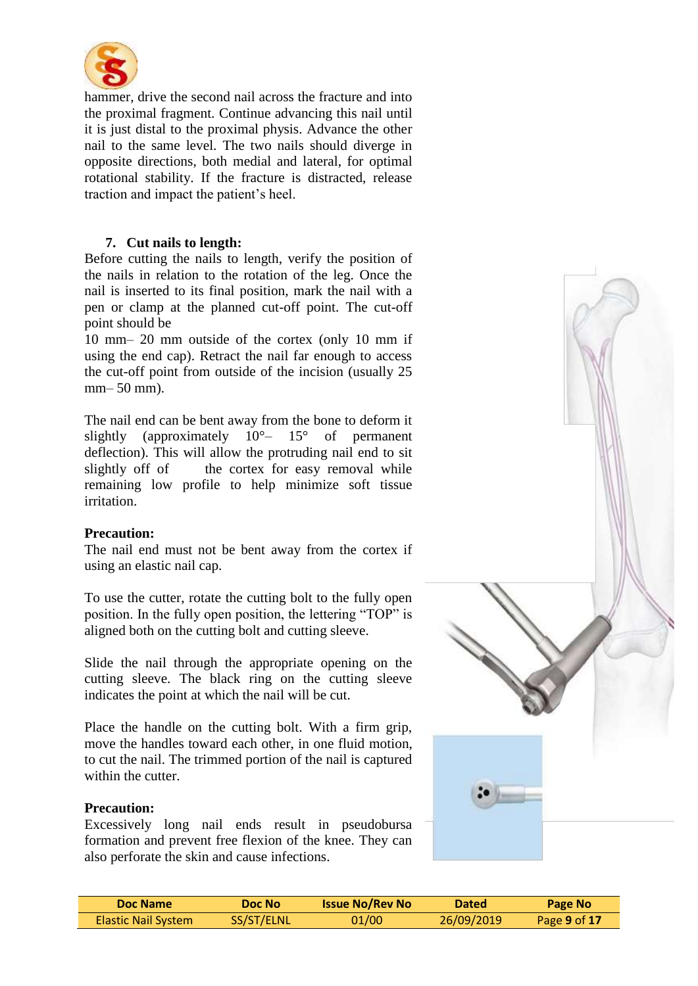

hammer, drive the second nail across the fracture and into the proximal fragment. Continue advancing this nail until it is just distal to the proximal physis. Advance the other nail to the same level. The two nails should diverge in opposite directions, both medial and lateral, for optimal rotational stability. If the fracture is distracted, release traction and impact the patient's heel.

#### **7. Cut nails to length:**

Before cutting the nails to length, verify the position of the nails in relation to the rotation of the leg. Once the nail is inserted to its final position, mark the nail with a pen or clamp at the planned cut-off point. The cut-off point should be

10 mm– 20 mm outside of the cortex (only 10 mm if using the end cap). Retract the nail far enough to access the cut-off point from outside of the incision (usually 25 mm– 50 mm).

The nail end can be bent away from the bone to deform it slightly (approximately  $10^{\circ} - 15^{\circ}$  of permanent deflection). This will allow the protruding nail end to sit slightly off of the cortex for easy removal while remaining low profile to help minimize soft tissue irritation.

#### **Precaution:**

The nail end must not be bent away from the cortex if using an elastic nail cap.

To use the cutter, rotate the cutting bolt to the fully open position. In the fully open position, the lettering "TOP" is aligned both on the cutting bolt and cutting sleeve.

Slide the nail through the appropriate opening on the cutting sleeve. The black ring on the cutting sleeve indicates the point at which the nail will be cut.

Place the handle on the cutting bolt. With a firm grip, move the handles toward each other, in one fluid motion, to cut the nail. The trimmed portion of the nail is captured within the cutter.

#### **Precaution:**

Excessively long nail ends result in pseudobursa formation and prevent free flexion of the knee. They can also perforate the skin and cause infections.



| Doc Name                   | Doc No     | <b>Issue No/Rev No</b> | <b>Dated</b> | Page No      |
|----------------------------|------------|------------------------|--------------|--------------|
| <b>Elastic Nail System</b> | SS/ST/ELNL | 01/00                  | 26/09/2019   | Page 9 of 17 |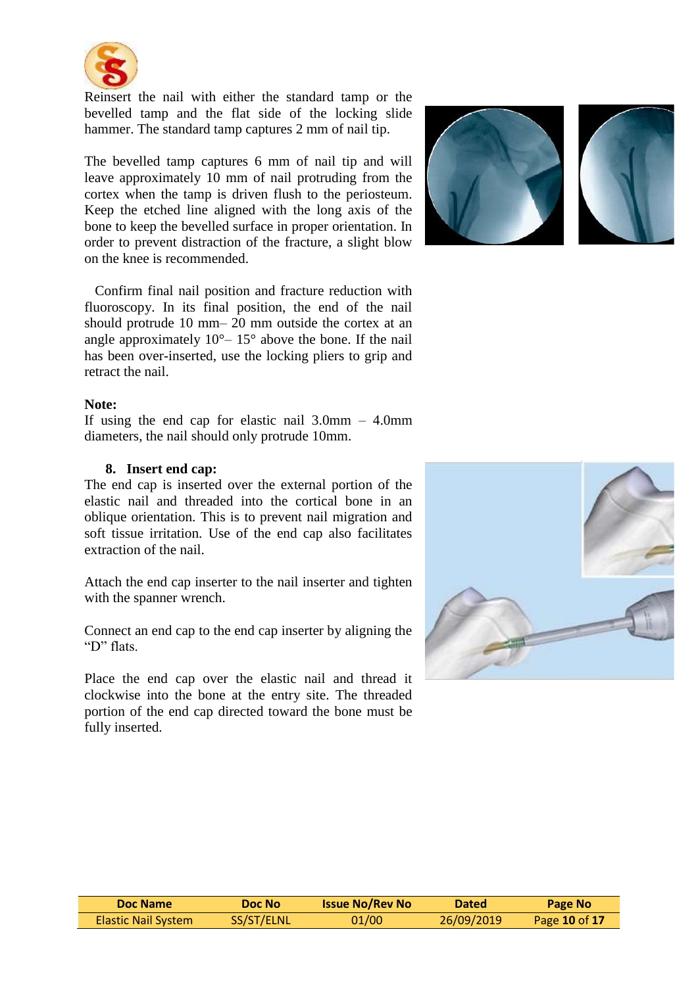

Reinsert the nail with either the standard tamp or the bevelled tamp and the flat side of the locking slide hammer. The standard tamp captures 2 mm of nail tip.

The bevelled tamp captures 6 mm of nail tip and will leave approximately 10 mm of nail protruding from the cortex when the tamp is driven flush to the periosteum. Keep the etched line aligned with the long axis of the bone to keep the bevelled surface in proper orientation. In order to prevent distraction of the fracture, a slight blow on the knee is recommended.

 Confirm final nail position and fracture reduction with fluoroscopy. In its final position, the end of the nail should protrude 10 mm– 20 mm outside the cortex at an angle approximately  $10^{\circ} - 15^{\circ}$  above the bone. If the nail has been over-inserted, use the locking pliers to grip and retract the nail.

#### **Note:**

If using the end cap for elastic nail  $3.0$ mm –  $4.0$ mm diameters, the nail should only protrude 10mm.

#### **8. Insert end cap:**

The end cap is inserted over the external portion of the elastic nail and threaded into the cortical bone in an oblique orientation. This is to prevent nail migration and soft tissue irritation. Use of the end cap also facilitates extraction of the nail.

Attach the end cap inserter to the nail inserter and tighten with the spanner wrench.

Connect an end cap to the end cap inserter by aligning the "D" flats.

Place the end cap over the elastic nail and thread it clockwise into the bone at the entry site. The threaded portion of the end cap directed toward the bone must be fully inserted.







| Doc Name            | Doc No     | <b>Issue No/Rev No</b> | <b>Dated</b> | Page No       |
|---------------------|------------|------------------------|--------------|---------------|
| Elastic Nail System | SS/ST/ELNL | 01/00                  | 26/09/2019   | Page 10 of 17 |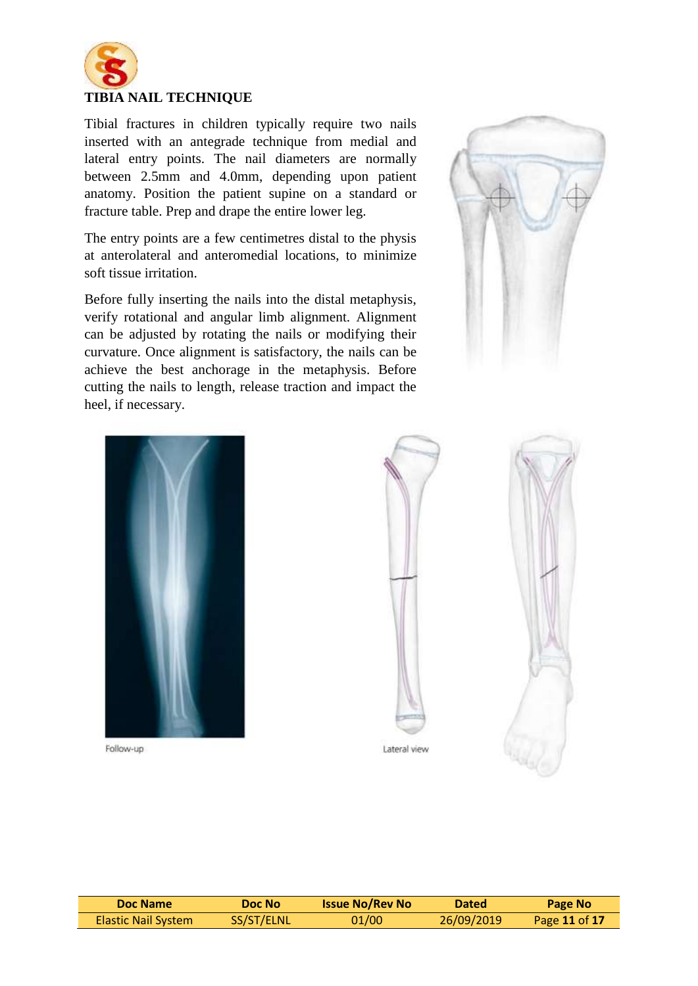

Tibial fractures in children typically require two nails inserted with an antegrade technique from medial and lateral entry points. The nail diameters are normally between 2.5mm and 4.0mm, depending upon patient anatomy. Position the patient supine on a standard or fracture table. Prep and drape the entire lower leg.

The entry points are a few centimetres distal to the physis at anterolateral and anteromedial locations, to minimize soft tissue irritation.

Before fully inserting the nails into the distal metaphysis, verify rotational and angular limb alignment. Alignment can be adjusted by rotating the nails or modifying their curvature. Once alignment is satisfactory, the nails can be achieve the best anchorage in the metaphysis. Before cutting the nails to length, release traction and impact the heel, if necessary.





Follow-up





| Doc Name                   | Doc No     | <b>Issue No/Rev No</b> | <b>Dated</b> | Page No       |
|----------------------------|------------|------------------------|--------------|---------------|
| <b>Elastic Nail System</b> | SS/ST/ELNL | 01/00                  | 26/09/2019   | Page 11 of 17 |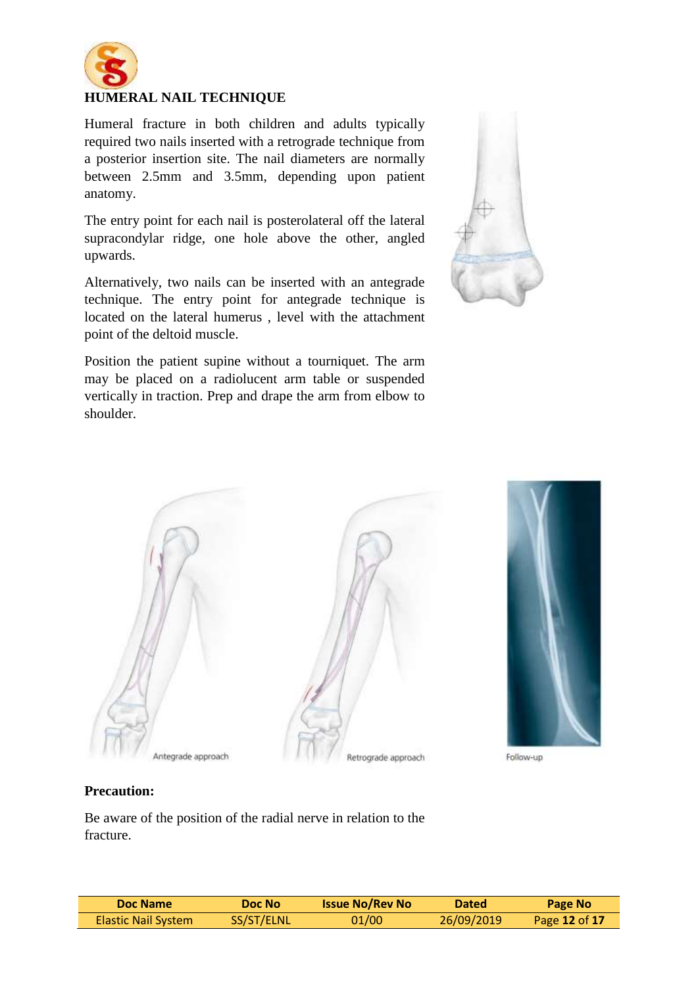

#### **HUMERAL NAIL TECHNIQUE**

Humeral fracture in both children and adults typically required two nails inserted with a retrograde technique from a posterior insertion site. The nail diameters are normally between 2.5mm and 3.5mm, depending upon patient anatomy.

The entry point for each nail is posterolateral off the lateral supracondylar ridge, one hole above the other, angled upwards.

Alternatively, two nails can be inserted with an antegrade technique. The entry point for antegrade technique is located on the lateral humerus , level with the attachment point of the deltoid muscle.

Position the patient supine without a tourniquet. The arm may be placed on a radiolucent arm table or suspended vertically in traction. Prep and drape the arm from elbow to shoulder.







Follow-up

#### **Precaution:**

Be aware of the position of the radial nerve in relation to the fracture.

| Doc Name            | Doc No     | <b>Issue No/Rev No</b> | <b>Dated</b> | Page No       |
|---------------------|------------|------------------------|--------------|---------------|
| Elastic Nail System | SS/ST/ELNL | 01/00                  | 26/09/2019   | Page 12 of 17 |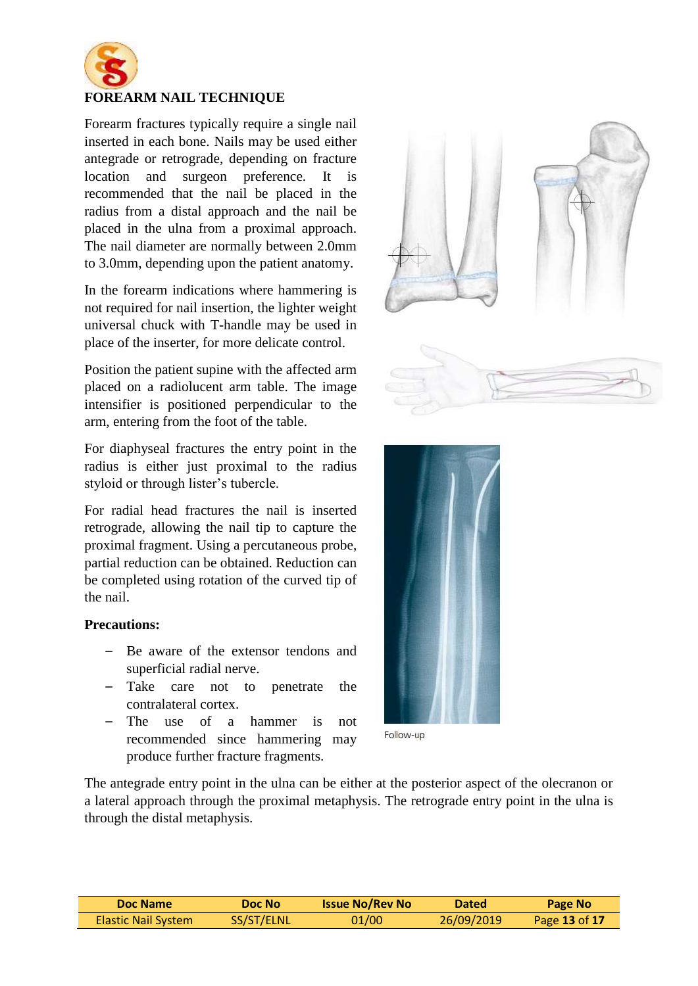

#### **FOREARM NAIL TECHNIQUE**

Forearm fractures typically require a single nail inserted in each bone. Nails may be used either antegrade or retrograde, depending on fracture location and surgeon preference. It is recommended that the nail be placed in the radius from a distal approach and the nail be placed in the ulna from a proximal approach. The nail diameter are normally between 2.0mm to 3.0mm, depending upon the patient anatomy.

In the forearm indications where hammering is not required for nail insertion, the lighter weight universal chuck with T-handle may be used in place of the inserter, for more delicate control.

Position the patient supine with the affected arm placed on a radiolucent arm table. The image intensifier is positioned perpendicular to the arm, entering from the foot of the table.

For diaphyseal fractures the entry point in the radius is either just proximal to the radius styloid or through lister's tubercle.

For radial head fractures the nail is inserted retrograde, allowing the nail tip to capture the proximal fragment. Using a percutaneous probe, partial reduction can be obtained. Reduction can be completed using rotation of the curved tip of the nail.

#### **Precautions:**

- Be aware of the extensor tendons and superficial radial nerve.
- Take care not to penetrate the contralateral cortex.
- The use of a hammer is not recommended since hammering may produce further fracture fragments.





Follow-up

The antegrade entry point in the ulna can be either at the posterior aspect of the olecranon or a lateral approach through the proximal metaphysis. The retrograde entry point in the ulna is through the distal metaphysis.

| Doc Name                   | Doc No     | <b>Issue No/Rev No</b> | <b>Dated</b> | Page No       |
|----------------------------|------------|------------------------|--------------|---------------|
| <b>Elastic Nail System</b> | SS/ST/ELNL | 01/00                  | 26/09/2019   | Page 13 of 17 |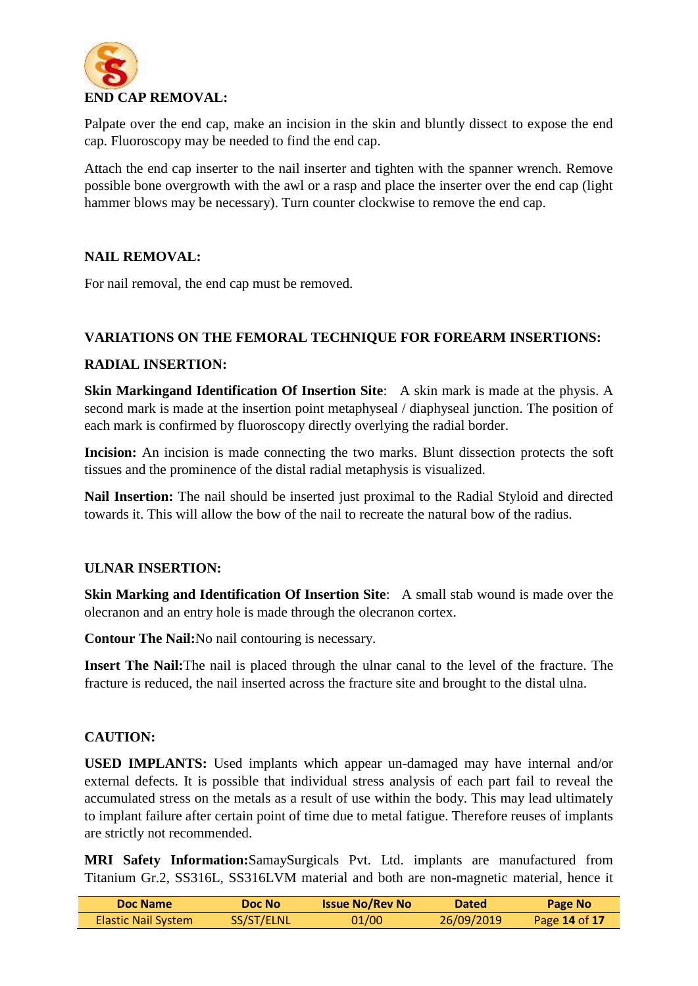

Palpate over the end cap, make an incision in the skin and bluntly dissect to expose the end cap. Fluoroscopy may be needed to find the end cap.

Attach the end cap inserter to the nail inserter and tighten with the spanner wrench. Remove possible bone overgrowth with the awl or a rasp and place the inserter over the end cap (light hammer blows may be necessary). Turn counter clockwise to remove the end cap.

#### **NAIL REMOVAL:**

For nail removal, the end cap must be removed.

#### **VARIATIONS ON THE FEMORAL TECHNIQUE FOR FOREARM INSERTIONS:**

#### **RADIAL INSERTION:**

**Skin Markingand Identification Of Insertion Site**: A skin mark is made at the physis. A second mark is made at the insertion point metaphyseal / diaphyseal junction. The position of each mark is confirmed by fluoroscopy directly overlying the radial border.

**Incision:** An incision is made connecting the two marks. Blunt dissection protects the soft tissues and the prominence of the distal radial metaphysis is visualized.

**Nail Insertion:** The nail should be inserted just proximal to the Radial Styloid and directed towards it. This will allow the bow of the nail to recreate the natural bow of the radius.

#### **ULNAR INSERTION:**

**Skin Marking and Identification Of Insertion Site**: A small stab wound is made over the olecranon and an entry hole is made through the olecranon cortex.

**Contour The Nail:**No nail contouring is necessary.

**Insert The Nail:**The nail is placed through the ulnar canal to the level of the fracture. The fracture is reduced, the nail inserted across the fracture site and brought to the distal ulna.

#### **CAUTION:**

**USED IMPLANTS:** Used implants which appear un-damaged may have internal and/or external defects. It is possible that individual stress analysis of each part fail to reveal the accumulated stress on the metals as a result of use within the body. This may lead ultimately to implant failure after certain point of time due to metal fatigue. Therefore reuses of implants are strictly not recommended.

**MRI Safety Information:**SamaySurgicals Pvt. Ltd. implants are manufactured from Titanium Gr.2, SS316L, SS316LVM material and both are non-magnetic material, hence it

| Doc Name            | Doc No     | <b>Issue No/Rev No</b> | <b>Dated</b> | Page No           |
|---------------------|------------|------------------------|--------------|-------------------|
| Elastic Nail System | SS/ST/ELNL | 01/00                  | 26/09/2019   | Page $14$ of $17$ |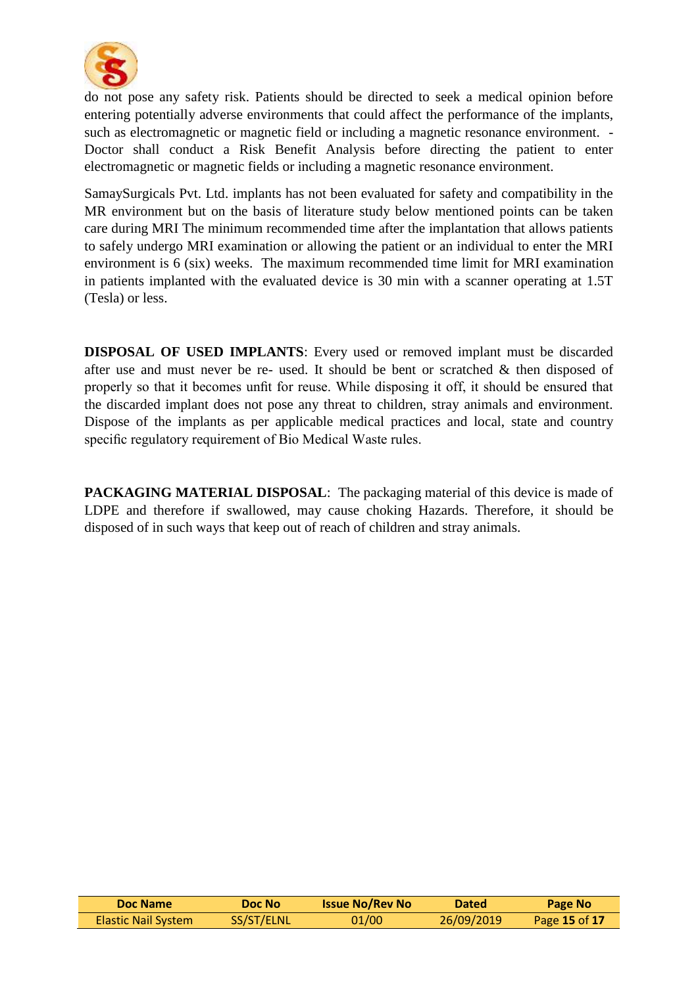

do not pose any safety risk. Patients should be directed to seek a medical opinion before entering potentially adverse environments that could affect the performance of the implants, such as electromagnetic or magnetic field or including a magnetic resonance environment. - Doctor shall conduct a Risk Benefit Analysis before directing the patient to enter electromagnetic or magnetic fields or including a magnetic resonance environment.

SamaySurgicals Pvt. Ltd. implants has not been evaluated for safety and compatibility in the MR environment but on the basis of literature study below mentioned points can be taken care during MRI The minimum recommended time after the implantation that allows patients to safely undergo MRI examination or allowing the patient or an individual to enter the MRI environment is 6 (six) weeks. The maximum recommended time limit for MRI examination in patients implanted with the evaluated device is 30 min with a scanner operating at 1.5T (Tesla) or less.

**DISPOSAL OF USED IMPLANTS**: Every used or removed implant must be discarded after use and must never be re- used. It should be bent or scratched  $\&$  then disposed of properly so that it becomes unfit for reuse. While disposing it off, it should be ensured that the discarded implant does not pose any threat to children, stray animals and environment. Dispose of the implants as per applicable medical practices and local, state and country specific regulatory requirement of Bio Medical Waste rules.

**PACKAGING MATERIAL DISPOSAL**: The packaging material of this device is made of LDPE and therefore if swallowed, may cause choking Hazards. Therefore, it should be disposed of in such ways that keep out of reach of children and stray animals.

| Doc Name            | Doc No     | <b>Issue No/Rev No</b> | <b>Dated</b> | Page No       |
|---------------------|------------|------------------------|--------------|---------------|
| Elastic Nail System | SS/ST/ELNL | 01/00                  | 26/09/2019   | Page 15 of 17 |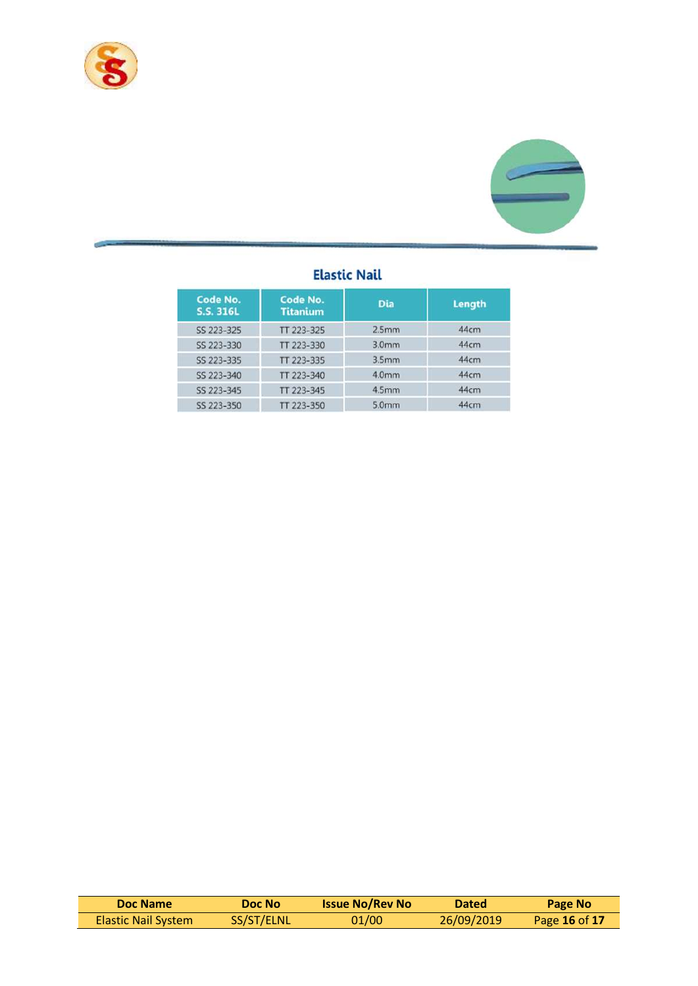



### **Elastic Nail**

| Code No.<br>S.S. 316L | Code No.<br><b>Titanium</b> | <b>Dia</b>        | <b>Length</b> |
|-----------------------|-----------------------------|-------------------|---------------|
| SS 223-325            | TT 223-325                  | 2.5 <sub>mm</sub> | 44cm          |
| SS 223-330            | TT 223-330                  | 3.0 <sub>mm</sub> | 44cm          |
| SS 223-335            | TT 223-335                  | 3.5 <sub>mm</sub> | 44cm          |
| SS 223-340            | TT 223-340                  | 4.0mm             | 44cm          |
| SS 223-345            | TT 223-345                  | 4.5mm             | 44cm          |
| SS 223-350            | TT 223-350                  | 5.0mm             | 44cm          |

| Doc Name                   | Doc No     | <b>Issue No/Rev No</b> | <b>Dated</b> | Page No       |
|----------------------------|------------|------------------------|--------------|---------------|
| <b>Elastic Nail System</b> | SS/ST/ELNL | 01/00                  | 26/09/2019   | Page 16 of 17 |